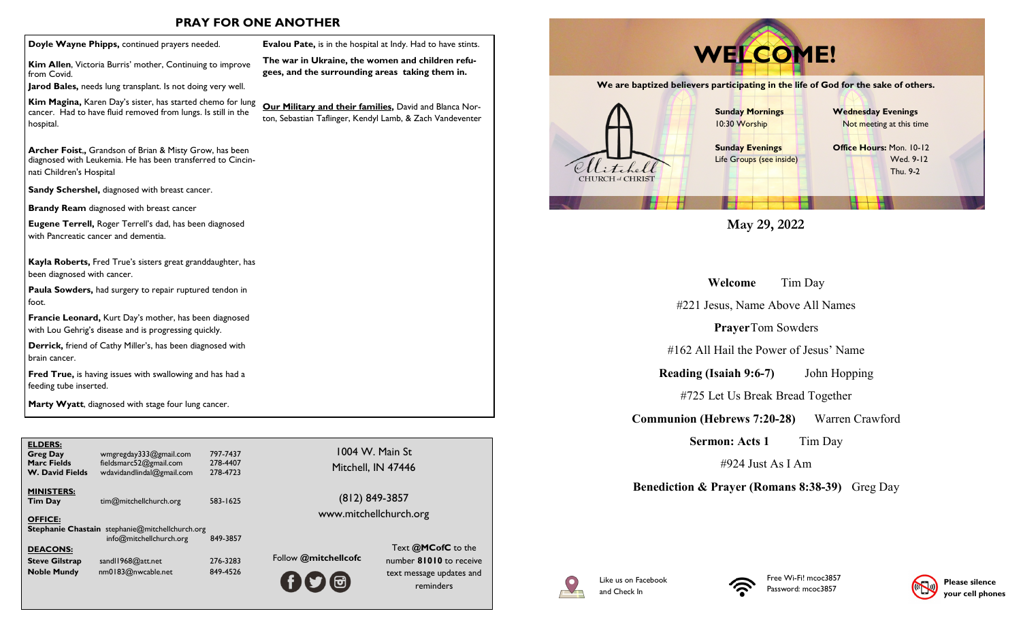### **PRAY FOR ONE ANOTHER**

**Kim Allen**, Victoria Burris' mother, Continuing to improve from Covid.

**Jarod Bales,** needs lung transplant. Is not doing very well.

**Kim Magina,** Karen Day's sister, has started chemo for lung cancer. Had to have fluid removed from lungs. Is still in the hospital.

**Archer Foist**,**,** Grandson of Brian & Misty Grow, has been diagnosed with Leukemia. He has been transferred to Cincinnati Children's Hospital

**Sandy Schershel,** diagnosed with breast cancer.

**Brandy Ream** diagnosed with breast cancer

**Eugene Terrell,** Roger Terrell's dad, has been diagnosed with Pancreatic cancer and dementia.

**Kayla Roberts,** Fred True's sisters great granddaughter, has been diagnosed with cancer.

**Paula Sowders,** had surgery to repair ruptured tendon in foot.

**Francie Leonard,** Kurt Day's mother, has been diagnosed with Lou Gehrig's disease and is progressing quickly.

**Derrick,** friend of Cathy Miller's, has been diagnosed with brain cancer.

**Fred True,** is having issues with swallowing and has had a feeding tube inserted.

**Marty Wyatt**, diagnosed with stage four lung cancer.

| <b>ELDERS:</b><br><b>Greg Day</b><br><b>Marc Fields</b><br><b>W. David Fields</b> | wmgregday333@gmail.com<br>fieldsmarc52@gmail.com<br>wdavidandlindal@gmail.com | 797-7437<br>278-4407<br>278-4723 | 1004 '<br>Mitche     |
|-----------------------------------------------------------------------------------|-------------------------------------------------------------------------------|----------------------------------|----------------------|
| <b>MINISTERS:</b><br><b>Tim Day</b>                                               | tim@mitchellchurch.org                                                        | 583-1625                         | (812)                |
| <b>OFFICE:</b>                                                                    |                                                                               |                                  | www.mito             |
| <b>Stephanie Chastain</b> stephanie@mitchellchurch.org                            |                                                                               |                                  |                      |
|                                                                                   | info@mitchellchurch.org                                                       | 849-3857                         |                      |
| <b>DEACONS:</b>                                                                   |                                                                               |                                  |                      |
| <b>Steve Gilstrap</b>                                                             | sand 1968@att.net                                                             | 276-3283                         | Follow @mitchellcofc |
| <b>Noble Mundy</b>                                                                | nm0183@nwcable.net                                                            | 849-4526                         |                      |

1004 W. Main St Mitchell, IN 47446

**Evalou Pate,** is in the hospital at Indy. Had to have stints. **The war in Ukraine, the women and children refugees, and the surrounding areas taking them in.**

**Our Military and their families,** David and Blanca Norton, Sebastian Taflinger, Kendyl Lamb, & Zach Vandeventer

> (812) 849-3857 www.mitchellchurch.org

> > Text **@MCofC** to the number **81010** to receive text message updates and reminders



**May 29, 2022**

**Welcome** Tim Day

#221 Jesus, Name Above All Names

**Prayer**Tom Sowders

#162 All Hail the Power of Jesus' Name

**Reading (Isaiah 9:6-7)** John Hopping

#725 Let Us Break Bread Together

**Communion (Hebrews 7:20-28)** Warren Crawford

**Sermon: Acts 1** Tim Day

#924 Just As I Am

**Benediction & Prayer (Romans 8:38-39)** Greg Day